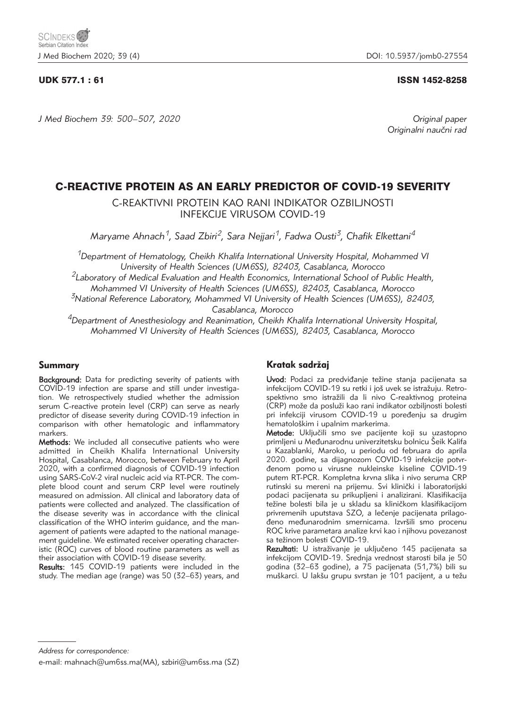# UDK 577.1 : 61 ISSN 1452-8258

*J Med Biochem 39: 500–507, 2020 Original paper*

Originalni naučni rad

# C-REACTIVE PROTEIN AS AN EARLY PREDICTOR OF COVID-19 SEVERITY

C-REAKTIVNI PROTEIN KAO RANI INDIKATOR OZBILJNOSTI INFEKCIJE VIRUSOM COVID-19

*Maryame Ahnach1, Saad Zbiri2, Sara Nejjari1, Fadwa Ousti3, Chafik Elkettani4*

*1Department of Hematology, Cheikh Khalifa International University Hospital, Mohammed VI University of Health Sciences (UM6SS), 82403, Casablanca, Morocco*

*2Laboratory of Medical Evaluation and Health Economics, International School of Public Health,* 

*Mohammed VI University of Health Sciences (UM6SS), 82403, Casablanca, Morocco*

*3National Reference Laboratory, Mohammed VI University of Health Sciences (UM6SS), 82403, Casablanca, Morocco*

*4Department of Anesthesiology and Reanimation, Cheikh Khalifa International University Hospital, Mohammed VI University of Health Sciences (UM6SS), 82403, Casablanca, Morocco*

# Summary

**Background:** Data for predicting severity of patients with COVID-19 infection are sparse and still under investigation. We retrospectively studied whether the admission serum C-reactive protein level (CRP) can serve as nearly predictor of disease severity during COVID-19 infection in comparison with other hematologic and inflammatory markers.

Methods: We included all consecutive patients who were admitted in Cheikh Khalifa International University Hospital, Casablanca, Morocco, between February to April 2020, with a confirmed diagnosis of COVID-19 infection using SARS-CoV-2 viral nucleic acid via RT-PCR. The complete blood count and serum CRP level were routinely measured on admission. All clinical and laboratory data of patients were collected and analyzed. The classification of the disease severity was in accordance with the clinical classification of the WHO interim guidance, and the management of patients were adapted to the national management guideline. We estimated receiver operating characteristic (ROC) curves of blood routine parameters as well as their association with COVID-19 disease severity.

Results: 145 COVID-19 patients were included in the study. The median age (range) was 50 (32–63) years, and

# Kratak sadržaj

Uvod: Podaci za predviđanje težine stanja pacijenata sa infekcijom COVID-19 su retki i još uvek se istražuju. Retrospektivno smo istražili da li nivo C-reaktivnog proteina (CRP) može da posluži kao rani indikator ozbiljnosti bolesti pri infekciji virusom COVID-19 u poređenju sa drugim hematološkim i upalnim markerima.

Metode: Uključili smo sve pacijente koji su uzastopno primljeni u Međunarodnu univerzitetsku bolnicu Šeik Kalifa u Kazablanki, Maroko, u periodu od februara do aprila 2020. godine, sa dijagnozom COVID-19 infekcije potvr-|enom pomo u virusne nukleinske kiseline COVID-19 putem RT-PCR. Kompletna krvna slika i nivo seruma CRP rutinski su mereni na prijemu. Svi klinički i laboratorijski podaci pacijenata su prikupljeni i analizirani. Klasifikacija težine bolesti bila je u skladu sa kliničkom klasifikacijom privremenih uputstava SZO, a lečenje pacijenata prilagođeno međunarodnim smernicama. Izvršili smo procenu ROC krive parametara analize krvi kao i njihovu povezanost sa težinom bolesti COVID-19.

Rezultati: U istraživanje je uključeno 145 pacijenata sa infekcijom COVID-19. Srednja vrednost starosti bila je 50 godina (32–63 godine), a 75 pacijenata (51,7%) bili su muškarci. U lakšu grupu svrstan je 101 pacijent, a u težu

*Address for correspondence:*

e-mail: mahnach@um6ss.ma(MA), szbiri@um6ss.ma (SZ)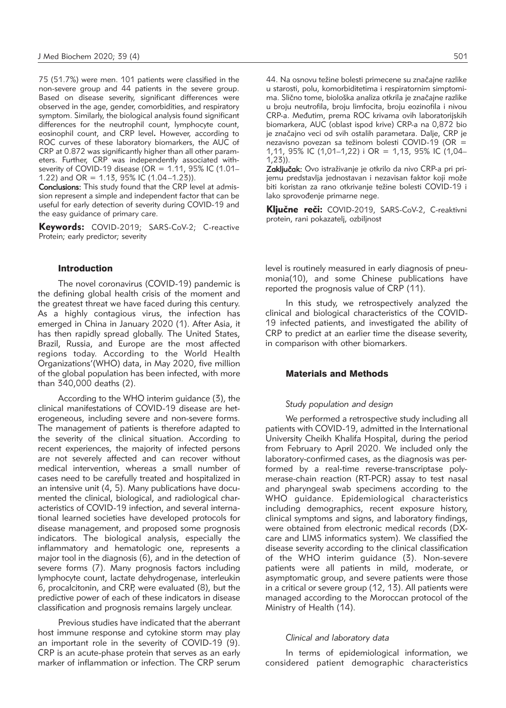75 (51.7%) were men. 101 patients were classified in the non-severe group and 44 patients in the severe group. Based on disease severity, significant differences were observed in the age, gender, comorbidities, and respiratory symptom. Similarly, the biological analysis found significant differences for the neutrophil count, lymphocyte count, eosinophil count, and CRP level**.** However, according to ROC curves of these laboratory biomarkers, the AUC of CRP at 0.872 was significantly higher than all other parameters. Further, CRP was independently associated withseverity of COVID-19 disease (OR = 1.11, 95% IC (1.01– 1.22) and OR = 1.13, 95% IC (1.04-1.23)).

Conclusions: This study found that the CRP level at admission represent a simple and independent factor that can be useful for early detection of severity during COVID-19 and the easy guidance of primary care.

Keywords: COVID-2019; SARS-CoV-2; C-reactive Protein; early predictor; severity

#### Introduction

The novel coronavirus (COVID-19) pandemic is the defining global health crisis of the moment and the greatest threat we have faced during this century. As a highly contagious virus, the infection has emerged in China in January 2020 (1). After Asia, it has then rapidly spread globally. The United States, Brazil, Russia, and Europe are the most affected regions today. According to the World Health Organizations'(WHO) data, in May 2020, five million of the global population has been infected, with more than 340,000 deaths (2).

According to the WHO interim guidance (3), the clinical manifestations of COVID-19 disease are heterogeneous, including severe and non-severe forms. The management of patients is therefore adapted to the severity of the clinical situation. According to recent experiences, the majority of infected persons are not severely affected and can recover without medical intervention, whereas a small number of cases need to be carefully treated and hospitalized in an intensive unit (4, 5). Many publications have documented the clinical, biological, and radiological characteristics of COVID-19 infection, and several international learned societies have developed protocols for disease management, and proposed some prognosis indicators. The biological analysis, especially the inflammatory and hematologic one, represents a major tool in the diagnosis (6), and in the detection of severe forms (7). Many prognosis factors including lymphocyte count, lactate dehydrogenase, interleukin 6, procalcitonin, and CRP, were evaluated (8), but the predictive power of each of these indicators in disease classification and prognosis remains largely unclear.

Previous studies have indicated that the aberrant host immune response and cytokine storm may play an important role in the severity of COVID-19 (9). CRP is an acute-phase protein that serves as an early marker of inflammation or infection. The CRP serum 44. Na osnovu težine bolesti primecene su značajne razlike u starosti, polu, komorbiditetima i respiratornim simptomima. Slično tome, biološka analiza otkrila je značajne razlike u broju neutrofila, broju limfocita, broju eozinofila i nivou CRP-a. Međutim, prema ROC krivama ovih laboratorijskih biomarkera, AUC (oblast ispod krive) CRP-a na 0,872 bio je značajno veci od svih ostalih parametara. Dalje, CRP je nezavisno povezan sa težinom bolesti COVID-19 (OR = 1,11, 95% IC (1,01–1,22) i OR = 1,13, 95% IC (1,04– 1,23)).

Zaključak: Ovo istraživanje je otkrilo da nivo CRP-a pri prijemu predstavlja jednostavan i nezavisan faktor koji može biti koristan za rano otkrivanje težine bolesti COVID-19 i lako sprovođenje primarne nege.

Ključne reči: COVID-2019, SARS-CoV-2, C-reaktivni protein, rani pokazatelj, ozbiljnost

level is routinely measured in early diagnosis of pneumonia(10), and some Chinese publications have reported the prognosis value of CRP (11).

In this study, we retrospectively analyzed the clinical and biological characteristics of the COVID-19 infected patients, and investigated the ability of CRP to predict at an earlier time the disease severity, in comparison with other biomarkers.

# Materials and Methods

#### *Study population and design*

We performed a retrospective study including all patients with COVID-19, admitted in the International University Cheikh Khalifa Hospital, during the period from February to April 2020. We included only the laboratory-confirmed cases, as the diagnosis was performed by a real-time reverse-transcriptase polymerase-chain reaction (RT-PCR) assay to test nasal and pharyngeal swab specimens according to the WHO guidance. Epidemiological characteristics including demographics, recent exposure history, clinical symptoms and signs, and laboratory findings, were obtained from electronic medical records (DXcare and LIMS informatics system). We classified the disease severity according to the clinical classification of the WHO interim guidance (3). Non-severe patients were all patients in mild, moderate, or asymptomatic group, and severe patients were those in a critical or severe group (12, 13). All patients were managed according to the Moroccan protocol of the Ministry of Health (14).

# *Clinical and laboratory data*

In terms of epidemiological information, we considered patient demographic characteristics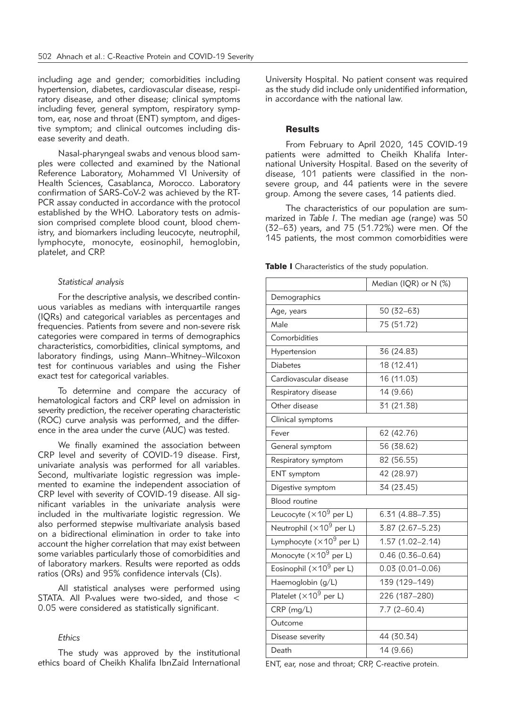including age and gender; comorbidities including hypertension, diabetes, cardiovascular disease, respiratory disease, and other disease; clinical symptoms including fever, general symptom, respiratory symptom, ear, nose and throat (ENT) symptom, and digestive symptom; and clinical outcomes including disease severity and death.

Nasal-pharyngeal swabs and venous blood samples were collected and examined by the National Reference Laboratory, Mohammed VI University of Health Sciences, Casablanca, Morocco. Laboratory confirmation of SARS-CoV-2 was achieved by the RT-PCR assay conducted in accordance with the protocol established by the WHO. Laboratory tests on admission comprised complete blood count, blood chemistry, and biomarkers including leucocyte, neutrophil, lymphocyte, monocyte, eosinophil, hemoglobin, platelet, and CRP.

### *Statistical analysis*

For the descriptive analysis, we described continuous variables as medians with interquartile ranges (IQRs) and categorical variables as percentages and frequencies. Patients from severe and non-severe risk categories were compared in terms of demographics characteristics, comorbidities, clinical symptoms, and laboratory findings, using Mann–Whitney–Wilcoxon test for continuous variables and using the Fisher exact test for categorical variables.

To determine and compare the accuracy of hematological factors and CRP level on admission in severity prediction, the receiver operating characteristic (ROC) curve analysis was performed, and the difference in the area under the curve (AUC) was tested.

We finally examined the association between CRP level and severity of COVID-19 disease. First, univariate analysis was performed for all variables. Second, multivariate logistic regression was implemented to examine the independent association of CRP level with severity of COVID-19 disease. All significant variables in the univariate analysis were included in the multivariate logistic regression. We also performed stepwise multivariate analysis based on a bidirectional elimination in order to take into account the higher correlation that may exist between some variables particularly those of comorbidities and of laboratory markers. Results were reported as odds ratios (ORs) and 95% confidence intervals (CIs).

All statistical analyses were performed using STATA. All P-values were two-sided, and those < 0.05 were considered as statistically significant.

# *Ethics*

The study was approved by the institutional ethics board of Cheikh Khalifa IbnZaid International University Hospital. No patient consent was required as the study did include only unidentified information, in accordance with the national law.

### **Results**

From February to April 2020, 145 COVID-19 patients were admitted to Cheikh Khalifa International University Hospital. Based on the severity of disease, 101 patients were classified in the nonsevere group, and 44 patients were in the severe group. Among the severe cases, 14 patients died.

The characteristics of our population are summarized in *Table I*. The median age (range) was 50 (32–63) years, and 75 (51.72%) were men. Of the 145 patients, the most common comorbidities were

Table I Characteristics of the study population.

|                                              | Median (IQR) or N (%) |  |  |  |
|----------------------------------------------|-----------------------|--|--|--|
| Demographics                                 |                       |  |  |  |
| Age, years                                   | $50(32-63)$           |  |  |  |
| Male                                         | 75 (51.72)            |  |  |  |
| Comorbidities                                |                       |  |  |  |
| Hypertension                                 | 36 (24.83)            |  |  |  |
| <b>Diabetes</b>                              | 18 (12.41)            |  |  |  |
| Cardiovascular disease                       | 16 (11.03)            |  |  |  |
| Respiratory disease                          | 14 (9.66)             |  |  |  |
| Other disease                                | 31 (21.38)            |  |  |  |
| Clinical symptoms                            |                       |  |  |  |
| Fever                                        | 62 (42.76)            |  |  |  |
| General symptom                              | 56 (38.62)            |  |  |  |
| Respiratory symptom                          | 82 (56.55)            |  |  |  |
| <b>ENT</b> symptom                           | 42 (28.97)            |  |  |  |
| Digestive symptom                            | 34 (23.45)            |  |  |  |
| <b>Blood</b> routine                         |                       |  |  |  |
| Leucocyte ( $\times$ 10 <sup>9</sup> per L)  | $6.31(4.88 - 7.35)$   |  |  |  |
| Neutrophil ( $\times$ 10 <sup>9</sup> per L) | 3.87 (2.67-5.23)      |  |  |  |
| Lymphocyte ( $\times 10^9$ per L)            | $1.57(1.02 - 2.14)$   |  |  |  |
| Monocyte $(x10^9$ per L)                     | $0.46(0.36 - 0.64)$   |  |  |  |
| Eosinophil ( $\times$ 10 <sup>9</sup> per L) | $0.03(0.01 - 0.06)$   |  |  |  |
| Haemoglobin (g/L)                            | 139 (129-149)         |  |  |  |
| Platelet $(\times 10^9$ per L)               | 226 (187-280)         |  |  |  |
| CRP (mg/L)                                   | $7.7(2 - 60.4)$       |  |  |  |
| Outcome                                      |                       |  |  |  |
| Disease severity                             | 44 (30.34)            |  |  |  |
| Death                                        | 14 (9.66)             |  |  |  |

ENT, ear, nose and throat; CRP, C-reactive protein.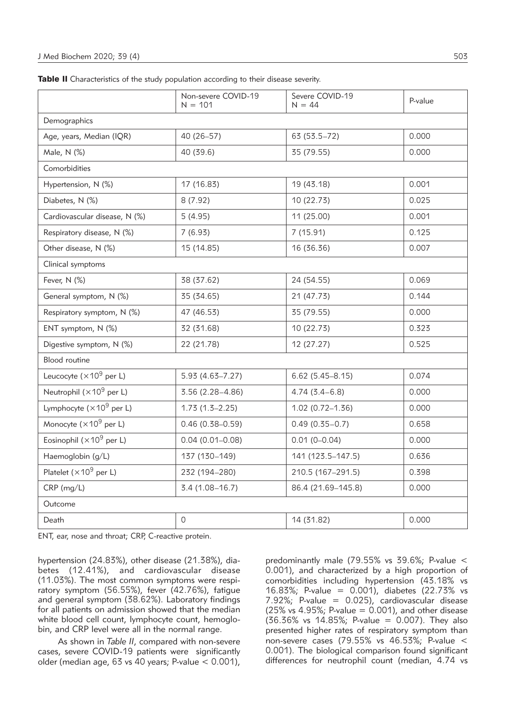|                                              | Non-severe COVID-19<br>$N = 101$ | Severe COVID-19<br>$N = 44$ | P-value |  |  |  |
|----------------------------------------------|----------------------------------|-----------------------------|---------|--|--|--|
| Demographics                                 |                                  |                             |         |  |  |  |
| Age, years, Median (IQR)                     | 40 (26-57)                       | 63 (53.5-72)                | 0.000   |  |  |  |
| Male, N (%)                                  | 40 (39.6)                        | 35 (79.55)                  | 0.000   |  |  |  |
| Comorbidities                                |                                  |                             |         |  |  |  |
| Hypertension, N (%)                          | 17 (16.83)                       | 19 (43.18)                  | 0.001   |  |  |  |
| Diabetes, N (%)                              | 8(7.92)                          | 10 (22.73)                  | 0.025   |  |  |  |
| Cardiovascular disease, N (%)                | 5(4.95)                          | 11 (25.00)                  | 0.001   |  |  |  |
| Respiratory disease, N (%)                   | 7(6.93)                          | 7(15.91)                    | 0.125   |  |  |  |
| Other disease, N (%)                         | 15 (14.85)                       | 16 (36.36)                  | 0.007   |  |  |  |
| Clinical symptoms                            |                                  |                             |         |  |  |  |
| Fever, N (%)                                 | 38 (37.62)                       | 24 (54.55)                  | 0.069   |  |  |  |
| General symptom, N (%)                       | 35 (34.65)                       | 21 (47.73)                  | 0.144   |  |  |  |
| Respiratory symptom, N (%)                   | 47 (46.53)                       | 35 (79.55)                  | 0.000   |  |  |  |
| ENT symptom, N (%)                           | 32 (31.68)                       | 10 (22.73)                  | 0.323   |  |  |  |
| Digestive symptom, N (%)                     | 22 (21.78)                       | 12 (27.27)                  | 0.525   |  |  |  |
| <b>Blood</b> routine                         |                                  |                             |         |  |  |  |
| Leucocyte ( $\times$ 10 <sup>9</sup> per L)  | $5.93(4.63 - 7.27)$              | $6.62(5.45 - 8.15)$         | 0.074   |  |  |  |
| Neutrophil (×10 <sup>9</sup> per L)          | 3.56 (2.28-4.86)                 | $4.74(3.4-6.8)$             | 0.000   |  |  |  |
| Lymphocyte ( $\times$ 10 <sup>9</sup> per L) | $1.73(1.5-2.25)$                 | $1.02(0.72 - 1.36)$         | 0.000   |  |  |  |
| Monocyte (×10 <sup>9</sup> per L)            | $0.46(0.38 - 0.59)$              | $0.49(0.35 - 0.7)$          | 0.658   |  |  |  |
| Eosinophil ( $\times$ 10 <sup>9</sup> per L) | $0.04(0.01 - 0.08)$              | $0.01(0 - 0.04)$            | 0.000   |  |  |  |
| Haemoglobin (g/L)                            | 137 (130-149)                    | 141 (123.5-147.5)           | 0.636   |  |  |  |
| Platelet ( $\times$ 10 <sup>9</sup> per L)   | 232 (194-280)                    | 210.5 (167-291.5)           | 0.398   |  |  |  |
| $CRP$ (mg/L)                                 | $3.4(1.08 - 16.7)$               | 86.4 (21.69-145.8)          | 0.000   |  |  |  |
| Outcome                                      |                                  |                             |         |  |  |  |
| Death                                        | $\circ$                          | 14 (31.82)                  | 0.000   |  |  |  |

Table II Characteristics of the study population according to their disease severity.

ENT, ear, nose and throat; CRP, C-reactive protein.

hypertension (24.83%), other disease (21.38%), diabetes (12.41%), and cardiovascular disease (11.03%). The most common symptoms were respiratory symptom (56.55%), fever (42.76%), fatigue and general symptom (38.62%). Laboratory findings for all patients on admission showed that the median white blood cell count, lymphocyte count, hemoglobin, and CRP level were all in the normal range.

As shown in *Table II*, compared with non-severe cases, severe COVID-19 patients were significantly older (median age, 63 vs 40 years; P-value < 0.001),

predominantly male (79.55% vs 39.6%; P-value < 0.001), and characterized by a high proportion of comorbidities including hypertension (43.18% vs 16.83%; P-value = 0.001), diabetes (22.73% vs 7.92%; P-value = 0.025), cardiovascular disease  $(25\% \text{ vs } 4.95\%;$  P-value = 0.001), and other disease (36.36% vs 14.85%; P-value = 0.007). They also presented higher rates of respiratory symptom than non-severe cases (79.55% vs 46.53%; P-value < 0.001). The biological comparison found significant differences for neutrophil count (median, 4.74 vs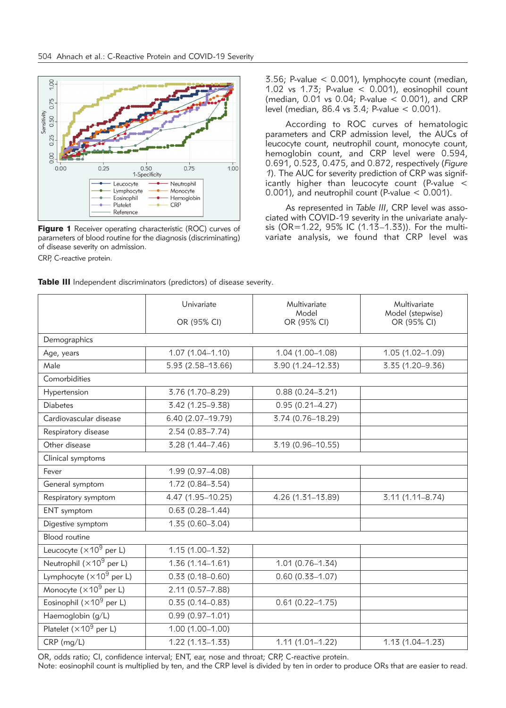

**Figure 1** Receiver operating characteristic (ROC) curves of parameters of blood routine for the diagnosis (discriminating) of disease severity on admission.

CRP, C-reactive protein.

3.56; P-value < 0.001), lymphocyte count (median, 1.02 vs 1.73; P-value < 0.001), eosinophil count (median, 0.01 vs 0.04; P-value < 0.001), and CRP level (median, 86.4 vs 3.4; P-value < 0.001).

According to ROC curves of hematologic parameters and CRP admission level, the AUCs of leucocyte count, neutrophil count, monocyte count, hemoglobin count, and CRP level were 0.594, 0.691, 0.523, 0.475, and 0.872, respectively (*Figure 1*). The AUC for severity prediction of CRP was significantly higher than leucocyte count (P-value < 0.001), and neutrophil count (P-value < 0.001).

As represented in *Table III*, CRP level was associated with COVID-19 severity in the univariate analysis (OR=1.22, 95% IC (1.13–1.33)). For the multivariate analysis, we found that CRP level was

|                                              | Univariate          | Multivariate<br>Model | Multivariate<br>Model (stepwise) |  |  |  |
|----------------------------------------------|---------------------|-----------------------|----------------------------------|--|--|--|
|                                              | OR (95% CI)         | OR (95% CI)           | OR (95% CI)                      |  |  |  |
| Demographics                                 |                     |                       |                                  |  |  |  |
| Age, years                                   | $1.07(1.04 - 1.10)$ | 1.04 (1.00-1.08)      | $1.05(1.02 - 1.09)$              |  |  |  |
| Male                                         | 5.93 (2.58-13.66)   | 3.90 (1.24-12.33)     | 3.35 (1.20-9.36)                 |  |  |  |
| Comorbidities                                |                     |                       |                                  |  |  |  |
| Hypertension                                 | 3.76 (1.70-8.29)    | $0.88(0.24 - 3.21)$   |                                  |  |  |  |
| <b>Diabetes</b>                              | 3.42 (1.25-9.38)    | $0.95(0.21 - 4.27)$   |                                  |  |  |  |
| Cardiovascular disease                       | 6.40 (2.07-19.79)   | 3.74 (0.76-18.29)     |                                  |  |  |  |
| Respiratory disease                          | $2.54(0.83 - 7.74)$ |                       |                                  |  |  |  |
| Other disease                                | 3.28 (1.44-7.46)    | 3.19 (0.96-10.55)     |                                  |  |  |  |
| Clinical symptoms                            |                     |                       |                                  |  |  |  |
| Fever                                        | 1.99 (0.97-4.08)    |                       |                                  |  |  |  |
| General symptom                              | $1.72(0.84 - 3.54)$ |                       |                                  |  |  |  |
| Respiratory symptom                          | 4.47 (1.95-10.25)   | 4.26 (1.31-13.89)     | $3.11(1.11 - 8.74)$              |  |  |  |
| ENT symptom                                  | $0.63(0.28 - 1.44)$ |                       |                                  |  |  |  |
| Digestive symptom                            | $1.35(0.60 - 3.04)$ |                       |                                  |  |  |  |
| <b>Blood</b> routine                         |                     |                       |                                  |  |  |  |
| Leucocyte ( $\times$ 10 <sup>9</sup> per L)  | $1.15(1.00 - 1.32)$ |                       |                                  |  |  |  |
| Neutrophil $(x10^9$ per L)                   | $1.36(1.14 - 1.61)$ | $1.01(0.76 - 1.34)$   |                                  |  |  |  |
| Lymphocyte ( $\times$ 10 <sup>9</sup> per L) | $0.33(0.18 - 0.60)$ | $0.60(0.33 - 1.07)$   |                                  |  |  |  |
| Monocyte ( $\times$ 10 <sup>9</sup> per L)   | 2.11 (0.57-7.88)    |                       |                                  |  |  |  |
| Eosinophil ( $\times$ 10 <sup>9</sup> per L) | $0.35(0.14 - 0.83)$ | $0.61(0.22 - 1.75)$   |                                  |  |  |  |
| Haemoglobin (g/L)                            | $0.99(0.97 - 1.01)$ |                       |                                  |  |  |  |
| Platelet ( $\times$ 10 <sup>9</sup> per L)   | $1.00(1.00 - 1.00)$ |                       |                                  |  |  |  |
| CRP (mg/L)                                   | $1.22(1.13 - 1.33)$ | $1.11(1.01 - 1.22)$   | $1.13(1.04 - 1.23)$              |  |  |  |

Table III Independent discriminators (predictors) of disease severity.

OR, odds ratio; CI, confidence interval; ENT, ear, nose and throat; CRP, C-reactive protein.

Note: eosinophil count is multiplied by ten, and the CRP level is divided by ten in order to produce ORs that are easier to read.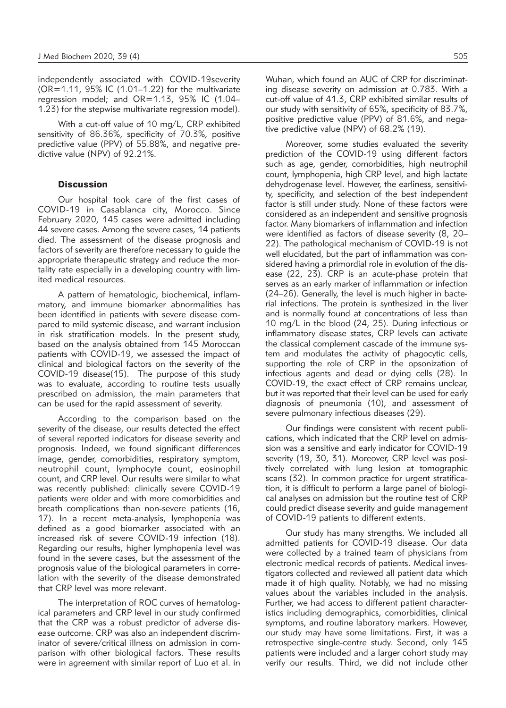independently associated with COVID-19severity (OR=1.11, 95% IC (1.01–1.22) for the multivariate regression model; and OR=1.13, 95% IC (1.04– 1.23) for the stepwise multivariate regression model).

With a cut-off value of 10 mg/L, CRP exhibited sensitivity of 86.36%, specificity of 70.3%, positive predictive value (PPV) of 55.88%, and negative predictive value (NPV) of 92.21%.

# **Discussion**

Our hospital took care of the first cases of COVID-19 in Casablanca city, Morocco. Since February 2020, 145 cases were admitted including 44 severe cases. Among the severe cases, 14 patients died. The assessment of the disease prognosis and factors of severity are therefore necessary to guide the appropriate therapeutic strategy and reduce the mortality rate especially in a developing country with limited medical resources.

A pattern of hematologic, biochemical, inflammatory, and immune biomarker abnormalities has been identified in patients with severe disease compared to mild systemic disease, and warrant inclusion in risk stratification models. In the present study, based on the analysis obtained from 145 Moroccan patients with COVID-19, we assessed the impact of clinical and biological factors on the severity of the COVID-19 disease(15). The purpose of this study was to evaluate, according to routine tests usually prescribed on admission, the main parameters that can be used for the rapid assessment of severity.

According to the comparison based on the severity of the disease, our results detected the effect of several reported indicators for disease severity and prognosis. Indeed, we found significant differences image, gender, comorbidities, respiratory symptom, neutrophil count, lymphocyte count, eosinophil count, and CRP level. Our results were similar to what was recently published: clinically severe COVID-19 patients were older and with more comorbidities and breath complications than non-severe patients (16, 17). In a recent meta-analysis, lymphopenia was defined as a good biomarker associated with an increased risk of severe COVID-19 infection (18). Regarding our results, higher lymphopenia level was found in the severe cases, but the assessment of the prognosis value of the biological parameters in correlation with the severity of the disease demonstrated that CRP level was more relevant.

The interpretation of ROC curves of hematological parameters and CRP level in our study confirmed that the CRP was a robust predictor of adverse disease outcome. CRP was also an independent discriminator of severe/critical illness on admission in comparison with other biological factors. These results were in agreement with similar report of Luo et al. in Wuhan, which found an AUC of CRP for discriminating disease severity on admission at 0.783. With a cut-off value of 41.3, CRP exhibited similar results of our study with sensitivity of 65%, specificity of 83.7%, positive predictive value (PPV) of 81.6%, and negative predictive value (NPV) of 68.2% (19).

Moreover, some studies evaluated the severity prediction of the COVID-19 using different factors such as age, gender, comorbidities, high neutrophil count, lymphopenia, high CRP level, and high lactate dehydrogenase level. However, the earliness, sensitivity, specificity, and selection of the best independent factor is still under study. None of these factors were considered as an independent and sensitive prognosis factor. Many biomarkers of inflammation and infection were identified as factors of disease severity (8, 20– 22). The pathological mechanism of COVID-19 is not well elucidated, but the part of inflammation was considered having a primordial role in evolution of the disease (22, 23). CRP is an acute-phase protein that serves as an early marker of inflammation or infection (24–26). Generally, the level is much higher in bacterial infections. The protein is synthesized in the liver and is normally found at concentrations of less than 10 mg/L in the blood (24, 25). During infectious or inflammatory disease states, CRP levels can activate the classical complement cascade of the immune system and modulates the activity of phagocytic cells, supporting the role of CRP in the opsonization of infectious agents and dead or dying cells (28). In COVID-19, the exact effect of CRP remains unclear, but it was reported that their level can be used for early diagnosis of pneumonia (10), and assessment of severe pulmonary infectious diseases (29).

Our findings were consistent with recent publications, which indicated that the CRP level on admission was a sensitive and early indicator for COVID-19 severity (19, 30, 31). Moreover, CRP level was positively correlated with lung lesion at tomographic scans (32). In common practice for urgent stratification, it is difficult to perform a large panel of biological analyses on admission but the routine test of CRP could predict disease severity and guide management of COVID-19 patients to different extents.

Our study has many strengths. We included all admitted patients for COVID-19 disease. Our data were collected by a trained team of physicians from electronic medical records of patients. Medical investigators collected and reviewed all patient data which made it of high quality. Notably, we had no missing values about the variables included in the analysis. Further, we had access to different patient characteristics including demographics, comorbidities, clinical symptoms, and routine laboratory markers. However, our study may have some limitations. First, it was a retrospective single-centre study. Second, only 145 patients were included and a larger cohort study may verify our results. Third, we did not include other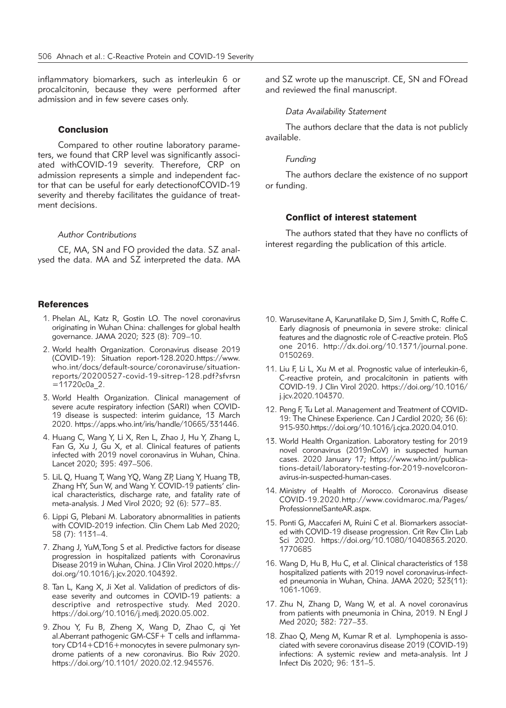inflammatory biomarkers, such as interleukin 6 or procalcitonin, because they were performed after admission and in few severe cases only.

# Conclusion

Compared to other routine laboratory parameters, we found that CRP level was significantly associated withCOVID-19 severity. Therefore, CRP on admission represents a simple and independent factor that can be useful for early detectionofCOVID-19 severity and thereby facilitates the guidance of treatment decisions.

#### *Author Contributions*

CE, MA, SN and FO provided the data. SZ analysed the data. MA and SZ interpreted the data. MA

#### **References**

- 1. Phelan AL, Katz R, Gostin LO. The novel coronavirus originating in Wuhan China: challenges for global health governance. JAMA 2020; 323 (8): 709–10.
- 2. World health Organization. Coronavirus disease 2019 (COVID-19): Situation report-128.2020.https://www. who.int/docs/default-source/coronaviruse/situationreports/20200527-covid-19-sitrep-128.pdf?sfvrsn  $=11720c0a$  2.
- 3. World Health Organization. Clinical management of severe acute respiratory infection (SARI) when COVID-19 disease is suspected: interim guidance, 13 March 2020. https://apps.who.int/iris/handle/10665/331446.
- 4. Huang C, Wang Y, Li X, Ren L, Zhao J, Hu Y, Zhang L, Fan G, Xu J, Gu X, et al. Clinical features of patients infected with 2019 novel coronavirus in Wuhan, China. Lancet 2020; 395: 497–506.
- 5. LiL Q, Huang T, Wang YQ, Wang ZP, Liang Y, Huang TB, Zhang HY, Sun W, and Wang Y. COVID-19 patients' clinical characteristics, discharge rate, and fatality rate of meta-analysis. J Med Virol 2020; 92 (6): 577–83.
- 6. Lippi G, Plebani M. Laboratory abnormalities in patients with COVID-2019 infection. Clin Chem Lab Med 2020; 58 (7): 1131–4.
- 7. Zhang J, YuM,Tong S et al. Predictive factors for disease progression in hospitalized patients with Coronavirus Disease 2019 in Wuhan, China. J Clin Virol 2020.https:// doi.org/10.1016/j.jcv.2020.104392.
- 8. Tan L, Kang X, Ji Xet al. Validation of predictors of disease severity and outcomes in COVID-19 patients: a descriptive and retrospective study. Med 2020. https://doi.org/10.1016/j.medj.2020.05.002.
- 9. Zhou Y, Fu B, Zheng X, Wang D, Zhao C, qi Yet al.Aberrant pathogenic GM-CSF+ T cells and inflammatory CD14+CD16+monocytes in severe pulmonary syndrome patients of a new coronavirus. Bio Rxiv 2020. https://doi.org/10.1101/ 2020.02.12.945576.

and SZ wrote up the manuscript. CE, SN and FOread and reviewed the final manuscript.

*Data Availability Statement*

The authors declare that the data is not publicly available.

#### *Funding*

The authors declare the existence of no support or funding.

# Conflict of interest statement

The authors stated that they have no conflicts of interest regarding the publication of this article.

- 10. Warusevitane A, Karunatilake D, Sim J, Smith C, Roffe C. Early diagnosis of pneumonia in severe stroke: clinical features and the diagnostic role of C-reactive protein. PloS one 2016. http://dx.doi.org/10.1371/journal.pone. 0150269.
- 11. Liu F, Li L, Xu M et al. Prognostic value of interleukin-6, C-reactive protein, and procalcitonin in patients with COVID-19. J Clin Virol 2020. https://doi.org/10.1016/ j.jcv.2020.104370.
- 12. Peng F, Tu Let al. Management and Treatment of COVID-19: The Chinese Experience. Can J Cardiol 2020; 36 (6): 915-930.https://doi.org/10.1016/j.cjca.2020.04.010.
- 13. World Health Organization. Laboratory testing for 2019 novel coronavirus (2019nCoV) in suspected human cases. 2020 January 17; https://www.who.int/publications-detail/laboratory-testing-for-2019-novelcoronavirus-in-suspected-human-cases.
- 14. Ministry of Health of Morocco. Coronavirus disease COVID-19.2020.http://www.covidmaroc.ma/Pages/ ProfessionnelSanteAR.aspx.
- 15. Ponti G, Maccaferi M, Ruini C et al. Biomarkers associated with COVID-19 disease progression. Crit Rev Clin Lab Sci 2020. https://doi.org/10.1080/10408363.2020. 1770685
- 16. Wang D, Hu B, Hu C, et al. Clinical characteristics of 138 hospitalized patients with 2019 novel coronavirus-infected pneumonia in Wuhan, China. JAMA 2020; 323(11): 1061-1069.
- 17. Zhu N, Zhang D, Wang W, et al. A novel coronavirus from patients with pneumonia in China, 2019. N Engl J Med 2020; 382: 727–33.
- 18. Zhao Q, Meng M, Kumar R et al. Lymphopenia is associated with severe coronavirus disease 2019 (COVID-19) infections: A systemic review and meta-analysis. Int J Infect Dis 2020; 96: 131–5.